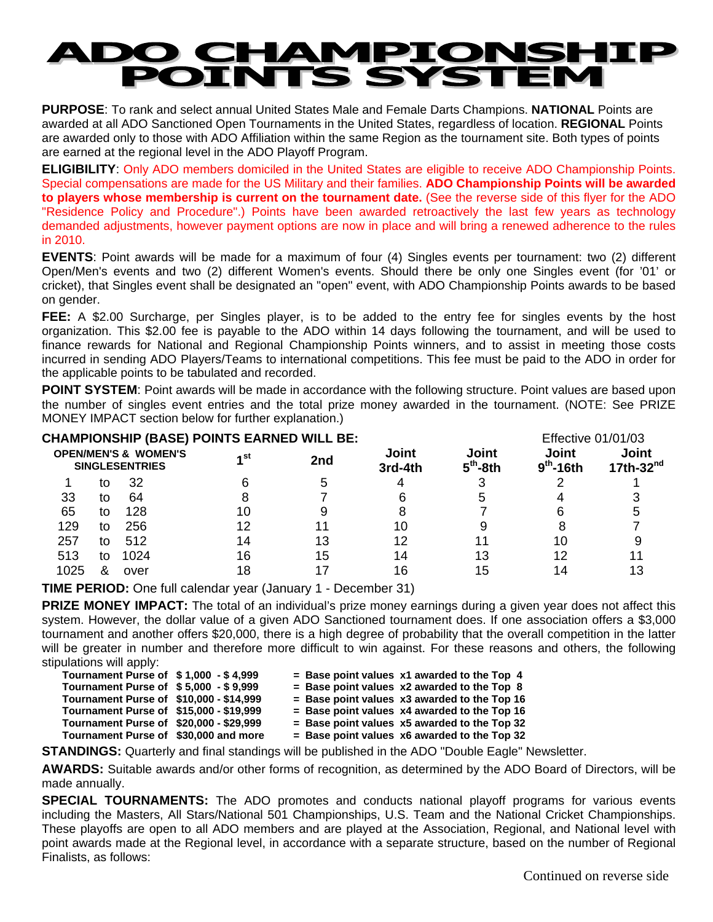## **PO CHAMPIONS<br>POINTS SYSTEM** HTP **A**

**PURPOSE**: To rank and select annual United States Male and Female Darts Champions. **NATIONAL** Points are awarded at all ADO Sanctioned Open Tournaments in the United States, regardless of location. **REGIONAL** Points are awarded only to those with ADO Affiliation within the same Region as the tournament site. Both types of points are earned at the regional level in the ADO Playoff Program.

**ELIGIBILITY**: Only ADO members domiciled in the United States are eligible to receive ADO Championship Points. Special compensations are made for the US Military and their families. **ADO Championship Points will be awarded to players whose membership is current on the tournament date.** (See the reverse side of this flyer for the ADO "Residence Policy and Procedure".) Points have been awarded retroactively the last few years as technology demanded adjustments, however payment options are now in place and will bring a renewed adherence to the rules in 2010.

**EVENTS**: Point awards will be made for a maximum of four (4) Singles events per tournament: two (2) different Open/Men's events and two (2) different Women's events. Should there be only one Singles event (for '01' or cricket), that Singles event shall be designated an "open" event, with ADO Championship Points awards to be based on gender.

**FEE:** A \$2.00 Surcharge, per Singles player, is to be added to the entry fee for singles events by the host organization. This \$2.00 fee is payable to the ADO within 14 days following the tournament, and will be used to finance rewards for National and Regional Championship Points winners, and to assist in meeting those costs incurred in sending ADO Players/Teams to international competitions. This fee must be paid to the ADO in order for the applicable points to be tabulated and recorded.

**POINT SYSTEM:** Point awards will be made in accordance with the following structure. Point values are based upon the number of singles event entries and the total prize money awarded in the tournament. (NOTE: See PRIZE MONEY IMPACT section below for further explanation.)

| <b>CHAMPIONSHIP (BASE) POINTS EARNED WILL BE:</b>        |    |      |      |     |                  |                     | <b>Effective 01/01/03</b>             |                       |
|----------------------------------------------------------|----|------|------|-----|------------------|---------------------|---------------------------------------|-----------------------|
| <b>OPEN/MEN'S &amp; WOMEN'S</b><br><b>SINGLESENTRIES</b> |    |      | ⊿ st | 2nd | Joint<br>3rd-4th | Joint<br>$5th$ -8th | <b>Joint</b><br>9 <sup>th</sup> -16th | Joint<br>17th-32 $nd$ |
|                                                          | tο | 32   |      | :C  |                  |                     |                                       |                       |
| 33                                                       | to | 64   |      |     |                  | 5                   |                                       |                       |
| 65                                                       | to | 128  | 10   |     |                  |                     |                                       |                       |
| 129                                                      | to | 256  | 12   |     | 10               |                     |                                       |                       |
| 257                                                      | to | 512  | 14   | 13  | 12               |                     | 10                                    |                       |
| 513                                                      | to | 1024 | 16   | 15  | 14               | 13                  | 12                                    |                       |
| 1025                                                     | ጼ  | over | 18   |     | 16               | 15                  |                                       |                       |

**TIME PERIOD:** One full calendar year (January 1 - December 31)

**PRIZE MONEY IMPACT:** The total of an individual's prize money earnings during a given year does not affect this system. However, the dollar value of a given ADO Sanctioned tournament does. If one association offers a \$3,000 tournament and another offers \$20,000, there is a high degree of probability that the overall competition in the latter will be greater in number and therefore more difficult to win against. For these reasons and others, the following stipulations will apply:

| Tournament Purse of \$1.000 - \$4.999   |                     |
|-----------------------------------------|---------------------|
| <b>Tournament Purse of</b>              | $$5,000 - $9,999$   |
| Tournament Purse of                     | \$10,000 - \$14,999 |
| Tournament Purse of \$15,000 - \$19,999 |                     |
| Tournament Purse of                     | \$20,000 - \$29.999 |
| Tournament Purse of \$30,000 and more   |                     |
|                                         |                     |

 $=$  Base point values  $x1$  awarded to the Top 4

 $=$  Base point values  $x2$  awarded to the Top 8  $=$  Base point values  $x3$  awarded to the Top 16

**= Base point values x4 awarded to the Top 16** 

**= Base point values x5 awarded to the Top 32** 

 $=$  Base point values  $x6$  awarded to the Top 32

**STANDINGS:** Quarterly and final standings will be published in the ADO "Double Eagle" Newsletter.

**AWARDS:** Suitable awards and/or other forms of recognition, as determined by the ADO Board of Directors, will be made annually.

**SPECIAL TOURNAMENTS:** The ADO promotes and conducts national playoff programs for various events including the Masters, All Stars/National 501 Championships, U.S. Team and the National Cricket Championships. These playoffs are open to all ADO members and are played at the Association, Regional, and National level with point awards made at the Regional level, in accordance with a separate structure, based on the number of Regional Finalists, as follows: